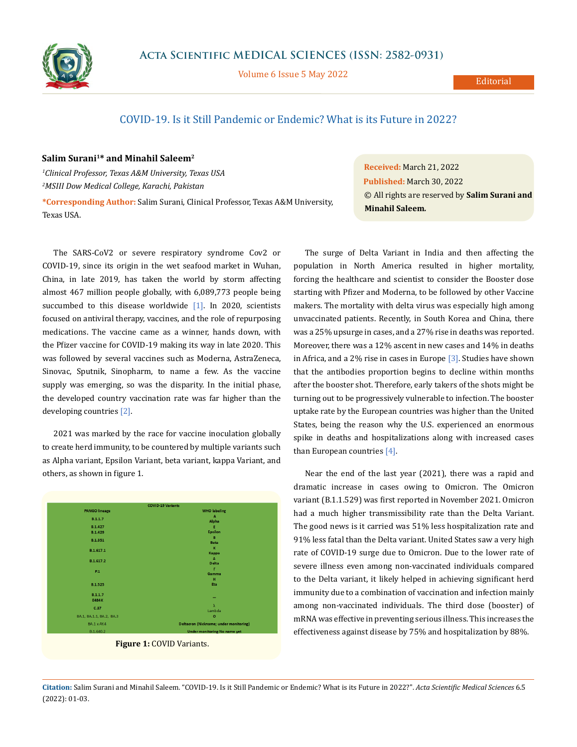

Volume 6 Issue 5 May 2022

Editorial

## COVID-19. Is it Still Pandemic or Endemic? What is its Future in 2022?

## **Salim Surani1\* and Minahil Saleem2**

*1 Clinical Professor, Texas A&M University, Texas USA 2 MSIII Dow Medical College, Karachi, Pakistan*

**\*Corresponding Author:** Salim Surani, Clinical Professor, Texas A&M University, Texas USA.

The SARS-CoV2 or severe respiratory syndrome Cov2 or COVID-19, since its origin in the wet seafood market in Wuhan, China, in late 2019, has taken the world by storm affecting almost 467 million people globally, with 6,089,773 people being succumbed to this disease worldwide [1]. In 2020, scientists focused on antiviral therapy, vaccines, and the role of repurposing medications. The vaccine came as a winner, hands down, with the Pfizer vaccine for COVID-19 making its way in late 2020. This was followed by several vaccines such as Moderna, AstraZeneca, Sinovac, Sputnik, Sinopharm, to name a few. As the vaccine supply was emerging, so was the disparity. In the initial phase, the developed country vaccination rate was far higher than the developing countries [2].

2021 was marked by the race for vaccine inoculation globally to create herd immunity, to be countered by multiple variants such as Alpha variant, Epsilon Variant, beta variant, kappa Variant, and others, as shown in figure 1.

| <b>COVID-19 Variants</b> |                                        |
|--------------------------|----------------------------------------|
| <b>PANGO lineage</b>     | <b>WHO labeling</b>                    |
| <b>B.1.1.7</b>           | A                                      |
|                          | Alpha                                  |
| <b>B.1.427</b>           | Е                                      |
| <b>B.1.429</b>           | <b>Epsilon</b>                         |
| B.1.351                  | в                                      |
|                          | <b>Beta</b>                            |
| B.1.617.1                | $\mathbf{K}$                           |
|                          | Kappa                                  |
| B.1.617.2                | Δ                                      |
|                          | <b>Delta</b>                           |
| P.1                      | T.                                     |
|                          | Gamma                                  |
|                          | H                                      |
| <b>B.1.525</b>           | Eta                                    |
| <b>B.1.1.7</b>           |                                        |
| <b>E484K</b>             |                                        |
| C.37                     | λ                                      |
|                          | Lambda                                 |
| BA.1, BA.1.1, BA.2, BA.3 | $\circ$                                |
| BA.1 x AY.4              | Deltacron (Nickname; under monitoring) |
| B.1.640.2                | Under monitoring No name yet           |



**Received:** March 21, 2022 **Published:** March 30, 2022 © All rights are reserved by **Salim Surani and Minahil Saleem***.*

The surge of Delta Variant in India and then affecting the population in North America resulted in higher mortality, forcing the healthcare and scientist to consider the Booster dose starting with Pfizer and Moderna, to be followed by other Vaccine makers. The mortality with delta virus was especially high among unvaccinated patients. Recently, in South Korea and China, there was a 25% upsurge in cases, and a 27% rise in deaths was reported. Moreover, there was a 12% ascent in new cases and 14% in deaths in Africa, and a 2% rise in cases in Europe [3]. Studies have shown that the antibodies proportion begins to decline within months after the booster shot. Therefore, early takers of the shots might be turning out to be progressively vulnerable to infection. The booster uptake rate by the European countries was higher than the United States, being the reason why the U.S. experienced an enormous spike in deaths and hospitalizations along with increased cases than European countries [4].

Near the end of the last year (2021), there was a rapid and dramatic increase in cases owing to Omicron. The Omicron variant (B.1.1.529) was first reported in November 2021. Omicron had a much higher transmissibility rate than the Delta Variant. The good news is it carried was 51% less hospitalization rate and 91% less fatal than the Delta variant. United States saw a very high rate of COVID-19 surge due to Omicron. Due to the lower rate of severe illness even among non-vaccinated individuals compared to the Delta variant, it likely helped in achieving significant herd immunity due to a combination of vaccination and infection mainly among non-vaccinated individuals. The third dose (booster) of mRNA was effective in preventing serious illness. This increases the effectiveness against disease by 75% and hospitalization by 88%.

**Citation:** Salim Surani and Minahil Saleem*.* "COVID-19. Is it Still Pandemic or Endemic? What is its Future in 2022?". *Acta Scientific Medical Sciences* 6.5 (2022): 01-03.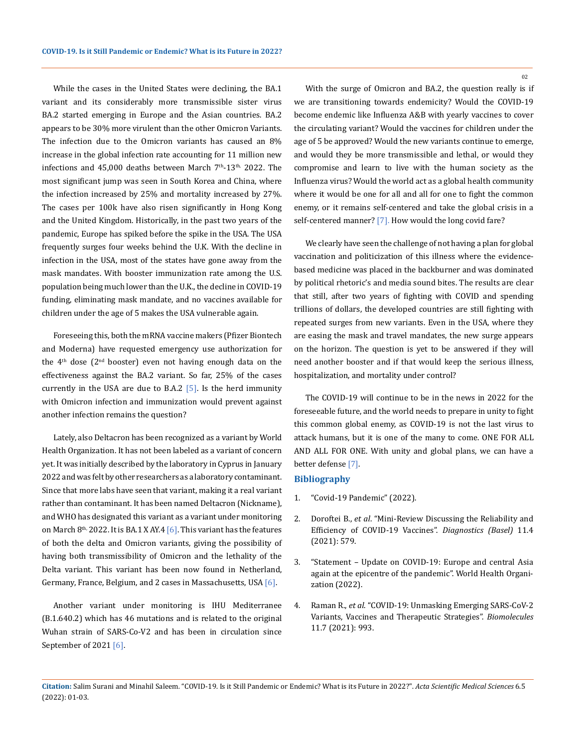While the cases in the United States were declining, the BA.1 variant and its considerably more transmissible sister virus BA.2 started emerging in Europe and the Asian countries. BA.2 appears to be 30% more virulent than the other Omicron Variants. The infection due to the Omicron variants has caused an 8% increase in the global infection rate accounting for 11 million new infections and  $45,000$  deaths between March  $7<sup>th</sup>$ -13<sup>th,</sup> 2022. The most significant jump was seen in South Korea and China, where the infection increased by 25% and mortality increased by 27%. The cases per 100k have also risen significantly in Hong Kong and the United Kingdom. Historically, in the past two years of the pandemic, Europe has spiked before the spike in the USA. The USA frequently surges four weeks behind the U.K. With the decline in infection in the USA, most of the states have gone away from the mask mandates. With booster immunization rate among the U.S. population being much lower than the U.K., the decline in COVID-19 funding, eliminating mask mandate, and no vaccines available for children under the age of 5 makes the USA vulnerable again.

Foreseeing this, both the mRNA vaccine makers (Pfizer Biontech and Moderna) have requested emergency use authorization for the  $4<sup>th</sup>$  dose ( $2<sup>nd</sup>$  booster) even not having enough data on the effectiveness against the BA.2 variant. So far, 25% of the cases currently in the USA are due to B.A.2  $[5]$ . Is the herd immunity with Omicron infection and immunization would prevent against another infection remains the question?

Lately, also Deltacron has been recognized as a variant by World Health Organization. It has not been labeled as a variant of concern yet. It was initially described by the laboratory in Cyprus in January 2022 and was felt by other researchers as a laboratory contaminant. Since that more labs have seen that variant, making it a real variant rather than contaminant. It has been named Deltacron (Nickname), and WHO has designated this variant as a variant under monitoring on March  $8<sup>th</sup>$ , 2022. It is BA.1 X AY.4  $[6]$ . This variant has the features of both the delta and Omicron variants, giving the possibility of having both transmissibility of Omicron and the lethality of the Delta variant. This variant has been now found in Netherland, Germany, France, Belgium, and 2 cases in Massachusetts, USA [6].

Another variant under monitoring is IHU Mediterranee (B.1.640.2) which has 46 mutations and is related to the original Wuhan strain of SARS-Co-V2 and has been in circulation since September of 2021 [6].

With the surge of Omicron and BA.2, the question really is if we are transitioning towards endemicity? Would the COVID-19 become endemic like Influenza A&B with yearly vaccines to cover the circulating variant? Would the vaccines for children under the age of 5 be approved? Would the new variants continue to emerge, and would they be more transmissible and lethal, or would they compromise and learn to live with the human society as the Influenza virus? Would the world act as a global health community where it would be one for all and all for one to fight the common enemy, or it remains self-centered and take the global crisis in a self-centered manner? [7]. How would the long covid fare?

We clearly have seen the challenge of not having a plan for global vaccination and politicization of this illness where the evidencebased medicine was placed in the backburner and was dominated by political rhetoric's and media sound bites. The results are clear that still, after two years of fighting with COVID and spending trillions of dollars, the developed countries are still fighting with repeated surges from new variants. Even in the USA, where they are easing the mask and travel mandates, the new surge appears on the horizon. The question is yet to be answered if they will need another booster and if that would keep the serious illness, hospitalization, and mortality under control?

The COVID-19 will continue to be in the news in 2022 for the foreseeable future, and the world needs to prepare in unity to fight this common global enemy, as COVID-19 is not the last virus to attack humans, but it is one of the many to come. ONE FOR ALL AND ALL FOR ONE. With unity and global plans, we can have a better defense [7].

## **Bibliography**

- 1. ["Covid-19 Pandemic" \(2022\).](https://www.worldometers.info/coronavirus/)
- 2. Doroftei B., *et al*[. "Mini-Review Discussing the Reliability and](https://www.ncbi.nlm.nih.gov/pmc/articles/PMC8063839/) [Efficiency of COVID-19 Vaccines".](https://www.ncbi.nlm.nih.gov/pmc/articles/PMC8063839/) *Diagnostics (Basel)* 11.4 [\(2021\): 579.](https://www.ncbi.nlm.nih.gov/pmc/articles/PMC8063839/)
- 3. ["Statement Update on COVID-19: Europe and central Asia](file:///E:/ANUSHA/Acta/APRIL/ASMS/New%20folder/euro.who.int/en/media-centre/sections/statements/2021/statement-update-on-covid-19-europe-and-central-asia-again-at-the-epicentre-of-the-pandemic) [again at the epicentre of the pandemic". World Health Organi](file:///E:/ANUSHA/Acta/APRIL/ASMS/New%20folder/euro.who.int/en/media-centre/sections/statements/2021/statement-update-on-covid-19-europe-and-central-asia-again-at-the-epicentre-of-the-pandemic)[zation \(2022\).](file:///E:/ANUSHA/Acta/APRIL/ASMS/New%20folder/euro.who.int/en/media-centre/sections/statements/2021/statement-update-on-covid-19-europe-and-central-asia-again-at-the-epicentre-of-the-pandemic)
- 4. Raman R., *et al*[. "COVID-19: Unmasking Emerging SARS-CoV-2](https://pubmed.ncbi.nlm.nih.gov/34356617/) [Variants, Vaccines and Therapeutic Strategies".](https://pubmed.ncbi.nlm.nih.gov/34356617/) *Biomolecules*  [11.7 \(2021\): 993.](https://pubmed.ncbi.nlm.nih.gov/34356617/)

02

**Citation:** Salim Surani and Minahil Saleem*.* "COVID-19. Is it Still Pandemic or Endemic? What is its Future in 2022?". *Acta Scientific Medical Sciences* 6.5 (2022): 01-03.